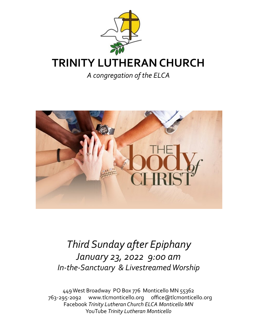

*A congregation of the ELCA*



# *Third Sunday after Epiphany January 23, 2022 9:00 am In-the-Sanctuary & Livestreamed Worship*

449 West Broadway PO Box 776 Monticello MN 55362 763-295-2092 www.tlcmonticello.org office@tlcmonticello.org Facebook *Trinity Lutheran Church ELCA Monticello MN*  YouTube *Trinity Lutheran Monticello*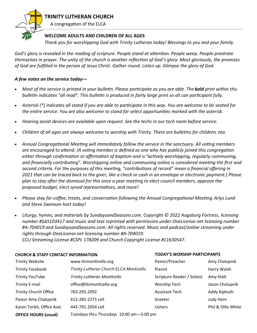

### **TRINITY LUTHERAN CHURCH**

A congregation of the ELCA

#### **WELCOME ADULTS AND CHILDREN OF ALL AGES**

*Thank you for worshipping God with Trinity Lutheran today! Blessings to you and your family.* 

*God's glory is revealed in the reading of scripture. People stand at attention. People weep. People prostrate themselves in prayer. The unity of the church is another reflection of God's glory. Most gloriously, the promises of God are fulfilled in the person of Jesus Christ. Gather round. Listen up. Glimpse the glory of God.* 

#### *A few notes on the service today—*

- *Most of the service is printed in your bulletin. Please participate as you are able. The bold print within this bulletin indicates "all read". This bulletin is produced in fairly large print so all can participant fully.*
- *Asterisk (\*) indicates all stand if you are able to participate in this way. You are welcome to be seated for the entire service. You are also welcome to stand for select opportunities marked with the asterisk.*
- *Hearing assist devices are available upon request. See the techs in our tech room before service.*
- *Children of all ages are always welcome to worship with Trinity. There are bulletins for children, too.*
- *Annual Congregational Meeting will immediately follow the service in the sanctuary. All voting members are encouraged to attend. (A voting member is defined as one who has publicly joined this congregation either through confirmation or affirmation of baptism and is "actively worshipping, regularly communing, and financially contributing". Worshipping online and communing online* is *considered meeting the first and second criteria. For the purposes of this meeting, "contributions of record" mean a financial offering in 2021 that can be traced back to the giver, like a check or cash in an envelope or electronic payment.) Please plan to stay after the dismissal for this once a year meeting to elect council members, approve the proposed budget, elect synod representatives, and more!*
- *Please stay for coffee, treats, and conversation following the Annual Congregational Meeting. Arlys Lund and Steve Swenson host today!*
- *Liturgy, hymns, and materials by SundaysandSeasons.com. Copyright © 2022 Augsburg Fortress, licensing number #SAS103417 and music and text reprinted with permission under OneLicense.net licensing number #A-704019 and SundaysandSeasons.com. All rights reserved. Music and podcast/online streaming under rights through OneLicense.net licensing number #A-704019.*

*CCLI Streaming License #CSPL 178209 and Church Copyright License #11630547.*

#### **CHURCH & STAFF CONTACT INFORMATION TODAY'S WORSHIP PARTICIPANTS**

| <b>Trinity Website</b>       | www.tlcmonticello.org                    | Pastor/Preacher            | Amy Chalupnik      |
|------------------------------|------------------------------------------|----------------------------|--------------------|
| <b>Trinity Facebook</b>      | Trinity Lutheran Church ELCA Monticello  | Pianist                    | Harry Walsh        |
| <b>Trinity YouTube</b>       | <b>Trinity Lutheran Monticello</b>       | Scripture Reader / Soloist | Amy Klatt          |
| <b>Trinity E-mail</b>        | office@tlcmonticello.org                 | <b>Worship Tech</b>        | Jason Chalupnik    |
| <b>Trinity Church Office</b> | 763-295-2092                             | <b>Assistant Tech</b>      | Addy Kiphuth       |
| Pastor Amy Chalupnik         | 612-282-2275 cell                        | Greeter                    | Judy Harn          |
| Karen Torbit, Office Asst.   | 443-791-2054 cell                        | <b>Ushers</b>              | Phil & Ollie White |
| <b>OFFICE HOURS (usual)</b>  | Tuesdays thru Thursdays 10:00 am-5:00 pm |                            |                    |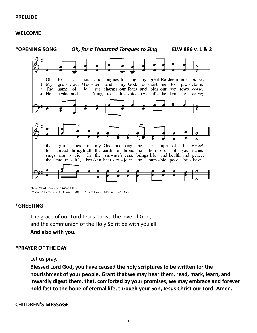#### **PRELUDE**

#### **WELCOME**



Text: Charles Wesley, 1707-1788, alt. Music: Azmon, Carl G. Gläser, 1784-1829; arr. Lowell Mason, 1792-1872

#### \***GREETING**

The grace of our Lord Jesus Christ, the love of God, and the communion of the Holy Spirit be with you all. **And also with you.**

#### **\*PRAYER OF THE DAY**

#### Let us pray.

**Blessed Lord God, you have caused the holy scriptures to be written for the nourishment of your people. Grant that we may hear them, read, mark, learn, and inwardly digest them, that, comforted by your promises, we may embrace and forever hold fast to the hope of eternal life, through your Son, Jesus Christ our Lord. Amen.**

#### **CHILDREN'S MESSAGE**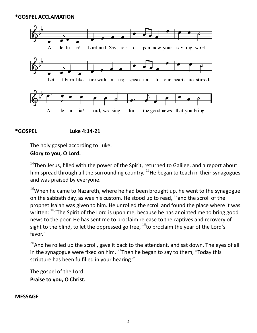

#### **\*GOSPEL Luke 4:14-21**

The holy gospel according to Luke.

#### **Glory to you, O Lord.**

 $14$ Then Jesus, filled with the power of the Spirit, returned to Galilee, and a report about him spread through all the surrounding country.  $15$ He began to teach in their synagogues and was praised by everyone.

 $16$ When he came to Nazareth, where he had been brought up, he went to the synagogue on the sabbath day, as was his custom. He stood up to read,  $^{17}$  and the scroll of the prophet Isaiah was given to him. He unrolled the scroll and found the place where it was written: <sup>18</sup>"The Spirit of the Lord is upon me, because he has anointed me to bring good news to the poor. He has sent me to proclaim release to the captives and recovery of sight to the blind, to let the oppressed go free,  $^{19}$ to proclaim the year of the Lord's favor."

 $20$ And he rolled up the scroll, gave it back to the attendant, and sat down. The eyes of all in the synagogue were fixed on him.  $^{21}$ Then he began to say to them, "Today this scripture has been fulfilled in your hearing."

The gospel of the Lord. **Praise to you, O Christ.**

#### **MESSAGE**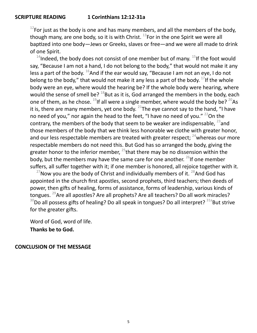$12$ For just as the body is one and has many members, and all the members of the body, though many, are one body, so it is with Christ.  $^{13}$  For in the one Spirit we were all baptized into one body—Jews or Greeks, slaves or free—and we were all made to drink of one Spirit.

 $14$ Indeed, the body does not consist of one member but of many.  $15$ If the foot would say, "Because I am not a hand, I do not belong to the body," that would not make it any less a part of the body.  $^{16}$ And if the ear would say, "Because I am not an eye, I do not belong to the body," that would not make it any less a part of the body.  $^{17}$  If the whole body were an eye, where would the hearing be? If the whole body were hearing, where would the sense of smell be?  $^{18}$ But as it is, God arranged the members in the body, each one of them, as he chose.  $^{19}$ If all were a single member, where would the body be?  $^{20}$ As it is, there are many members, yet one body.  $^{21}$ The eye cannot say to the hand, "I have no need of you," nor again the head to the feet, "I have no need of you."  $^{22}$ On the contrary, the members of the body that seem to be weaker are indispensable,  $^{23}$  and those members of the body that we think less honorable we clothe with greater honor, and our less respectable members are treated with greater respect;  $^{24}$  whereas our more respectable members do not need this. But God has so arranged the body, giving the greater honor to the inferior member,  $^{25}$ that there may be no dissension within the body, but the members may have the same care for one another.  $^{26}$ If one member suffers, all suffer together with it; if one member is honored, all rejoice together with it.

 $27$ Now you are the body of Christ and individually members of it.  $28$ And God has appointed in the church first apostles, second prophets, third teachers; then deeds of power, then gifts of healing, forms of assistance, forms of leadership, various kinds of tongues. <sup>29</sup>Are all apostles? Are all prophets? Are all teachers? Do all work miracles?  $30$ Do all possess gifts of healing? Do all speak in tongues? Do all interpret?  $31a$ But strive for the greater gifts.

Word of God, word of life. **Thanks be to God.**

#### **CONCLUSION OF THE MESSAGE**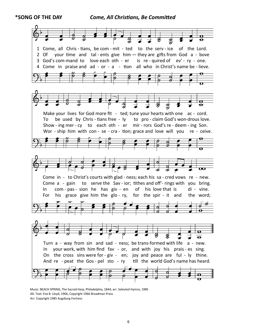**\*SONG OF THE DAY** *Come, All Christians, Be Committed*



Music: BEACH SPRING, The Sacred Harp, Philadelphia, 1844; arr. Selected Hymns, 1985 Alt. Text: Eva B. Lloyd, 1966, Copyright 1966 Broadman Press Arr. Copyright 1985 Augsburg Fortress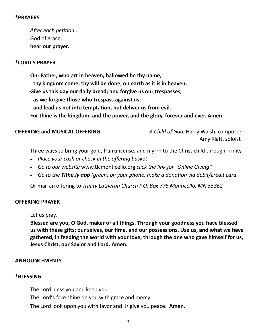#### **\*PRAYERS**

*After each petition...*  God of grace, **hear our prayer.**

#### **\*LORD'S PRAYER**

**Our Father, who art in heaven, hallowed be thy name, thy kingdom come, thy will be done, on earth as it is in heaven. Give us this day our daily bread; and forgive us our trespasses, as we forgive those who trespass against us; and lead us not into temptation, but deliver us from evil. For thine is the kingdom, and the power, and the glory, forever and ever. Amen.**

**OFFERING and MUSICAL OFFERING** *A Child of God*, Harry Walsh, composer Amy Klatt, soloist

Three ways to bring your gold, frankincense, and myrrh to the Christ child through Trinity

- *Place your cash or check in the offering basket*
- *Go to our website* www.tlcmonticello.org *click the link for "Online Giving"*
- *Go to the Tithe.ly app (green) on your phone, make a donation via debit/credit card*

Or mail an offering to *Trinity Lutheran Church P.O. Box 776 Monticello, MN 55362* 

#### **OFFERING PRAYER**

Let us pray.

**Blessed are you, O God, maker of all things. Through your goodness you have blessed us with these gifts: our selves, our time, and our possessions. Use us, and what we have gathered, in feeding the world with your love, through the one who gave himself for us, Jesus Christ, our Savior and Lord. Amen.**

#### **ANNOUNCEMENTS**

#### **\*BLESSING**

The Lord bless you and keep you. The Lord's face shine on you with grace and mercy. The Lord look upon you with favor and  $\pm$  give you peace. **Amen.**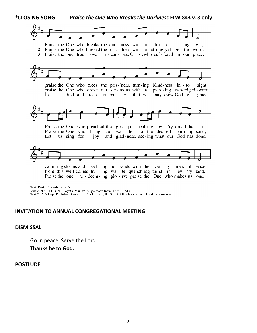

calm-ing storms and feed-ing thou-sands with the ver - y bread of peace. from this well comes liv - ing wa - ter quench-ing thirst in ev - 'ry land. Praise the one re - deem - ing glo - ry; praise the One who makes us one.

Text: Rusty Edwards, b. 1955 Music: NETTLETON, J. Wyeth, Repository of Sacred Music, Part II, 1813 Text © 1987 Hope Publishing Company, Carol Stream, IL 60188. All rights reserved. Used by permission.

#### **INVITATION TO ANNUAL CONGREGATIONAL MEETING**

**DISMISSAL**

Go in peace. Serve the Lord.

**Thanks be to God.**

#### **POSTLUDE**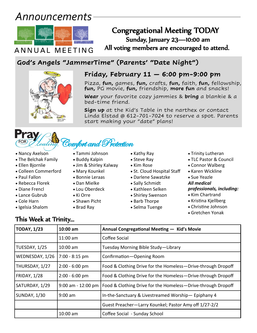# *Announcements*



## Congregational Meeting TODAY Sunday, January 23—10:00 am

 $ANN\overline{UAL}$   $MEE$   $TING$  All voting members are encouraged to attend.

## **God's Angels "JammerTime" (Parents' "Date Night")**



### **Friday, February 11 — 6:00 pm-9:00 pm**

Pizza, **fun,** games, **fun,** crafts, **fun,** faith, **fun,** fellowship, **fun,** PG movie, **fun,** friendship, **more fun** and snacks!

**Wear** your favorite cozy jammies & **bring** a blankie & a bed-time friend.

**Sign up** at the Kid's Table in the narthex or contact Linda Elstad @ 612-701-7024 to reserve a spot. Parents start making your "date" plans!

# ,Comfort and Protection

- Tammi Johnson
	- Buddy Kalpin
	- Jim & Shirley Kalway
	- Mary Kounkel
	- Bonnie Leraas
	- Dan Mielke
	- Lou Oberdeck
	- Ki Orre

• Brad Ray

- Shawn Picht
- Igelsia Shalom
- 
- Kathy Ray • Steve Ray
- Kim Rose
- St. Cloud Hospital Staff
- Darlene Sawatzke
- Sally Schmidt
- Kathleen Selken
- Shirley Swenson
- Barb Thorpe
- Selma Tuenge
- Trinity Lutheran
- TLC Pastor & Council
- Connor Walberg
- Karen Wickline
- Sue Yeazle

#### *All medical professionals, including:*

- Kim Chartrand
- Kristina Kjellberg
- Christine Johnson
- Gretchen Yonak

## This Week at Trinity...

• Nancy Axelson • The Belchak Family

• Ellen Bjornlie

• Paul Fallon • Rebecca Florek • Diane Frencl • Lance Gubrub • Cole Harn

• Colleen Commerford

| <b>TODAY, 1/23</b>  | 10:00 am             | Annual Congregational Meeting - Kid's Movie                  |
|---------------------|----------------------|--------------------------------------------------------------|
|                     | $11:00$ am           | Coffee Social                                                |
| TUESDAY, 1/25       | $10:00$ am           | Tuesday Morning Bible Study-Library                          |
| WEDNESDAY, 1/26     | $7:00 - 8:15$ pm     | Confirmation-Opening Room                                    |
| THURSDAY, 1/27      | $2:00 - 6:00$ pm     | Food & Clothing Drive for the Homeless-Drive-through Dropoff |
| <b>FRIDAY, 1/28</b> | $2:00 - 6:00$ pm     | Food & Clothing Drive for the Homeless-Drive-through Dropoff |
| SATURDAY, 1/29      | $9:00$ am - 12:00 pm | Food & Clothing Drive for the Homeless-Drive-through Dropoff |
| <b>SUNDAY, 1/30</b> | $9:00$ am            | In-the-Sanctuary & Livestreamed Worship-Epiphany 4           |
|                     |                      | Guest Preacher-Larry Kounkel; Pastor Amy off 1/27-2/2        |
|                     | 10:00 am             | Coffee Social - Sunday School                                |